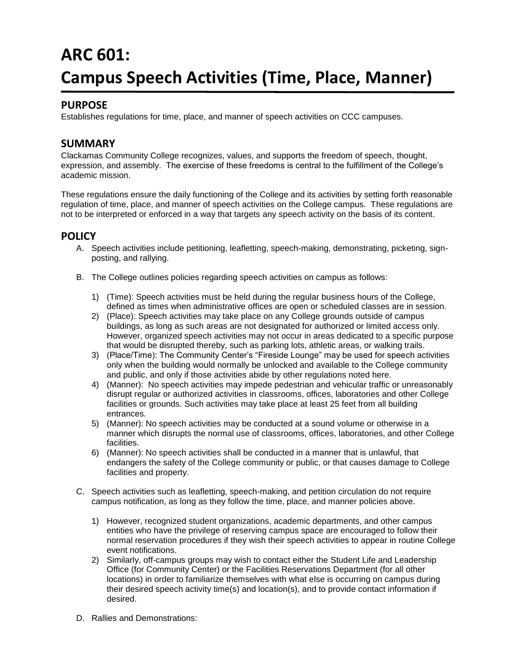## **ARC 601: Campus Speech Activities (Time, Place, Manner)**

## **PURPOSE**

Establishes regulations for time, place, and manner of speech activities on CCC campuses.

## **SUMMARY**

Clackamas Community College recognizes, values, and supports the freedom of speech, thought, expression, and assembly. The exercise of these freedoms is central to the fulfillment of the College's academic mission.

These regulations ensure the daily functioning of the College and its activities by setting forth reasonable regulation of time, place, and manner of speech activities on the College campus. These regulations are not to be interpreted or enforced in a way that targets any speech activity on the basis of its content.

## **POLICY**

- A. Speech activities include petitioning, leafletting, speech-making, demonstrating, picketing, signposting, and rallying.
- B. The College outlines policies regarding speech activities on campus as follows:
	- 1) (Time): Speech activities must be held during the regular business hours of the College, defined as times when administrative offices are open or scheduled classes are in session.
	- 2) (Place): Speech activities may take place on any College grounds outside of campus buildings, as long as such areas are not designated for authorized or limited access only. However, organized speech activities may not occur in areas dedicated to a specific purpose that would be disrupted thereby, such as parking lots, athletic areas, or walking trails.
	- 3) (Place/Time): The Community Center's "Fireside Lounge" may be used for speech activities only when the building would normally be unlocked and available to the College community and public, and only if those activities abide by other regulations noted here.
	- 4) (Manner): No speech activities may impede pedestrian and vehicular traffic or unreasonably disrupt regular or authorized activities in classrooms, offices, laboratories and other College facilities or grounds. Such activities may take place at least 25 feet from all building entrances.
	- 5) (Manner): No speech activities may be conducted at a sound volume or otherwise in a manner which disrupts the normal use of classrooms, offices, laboratories, and other College facilities.
	- 6) (Manner): No speech activities shall be conducted in a manner that is unlawful, that endangers the safety of the College community or public, or that causes damage to College facilities and property.
- C. Speech activities such as leafletting, speech-making, and petition circulation do not require campus notification, as long as they follow the time, place, and manner policies above.
	- 1) However, recognized student organizations, academic departments, and other campus entities who have the privilege of reserving campus space are encouraged to follow their normal reservation procedures if they wish their speech activities to appear in routine College event notifications.
	- 2) Similarly, off-campus groups may wish to contact either the Student Life and Leadership Office (for Community Center) or the Facilities Reservations Department (for all other locations) in order to familiarize themselves with what else is occurring on campus during their desired speech activity time(s) and location(s), and to provide contact information if desired.
- D. Rallies and Demonstrations: